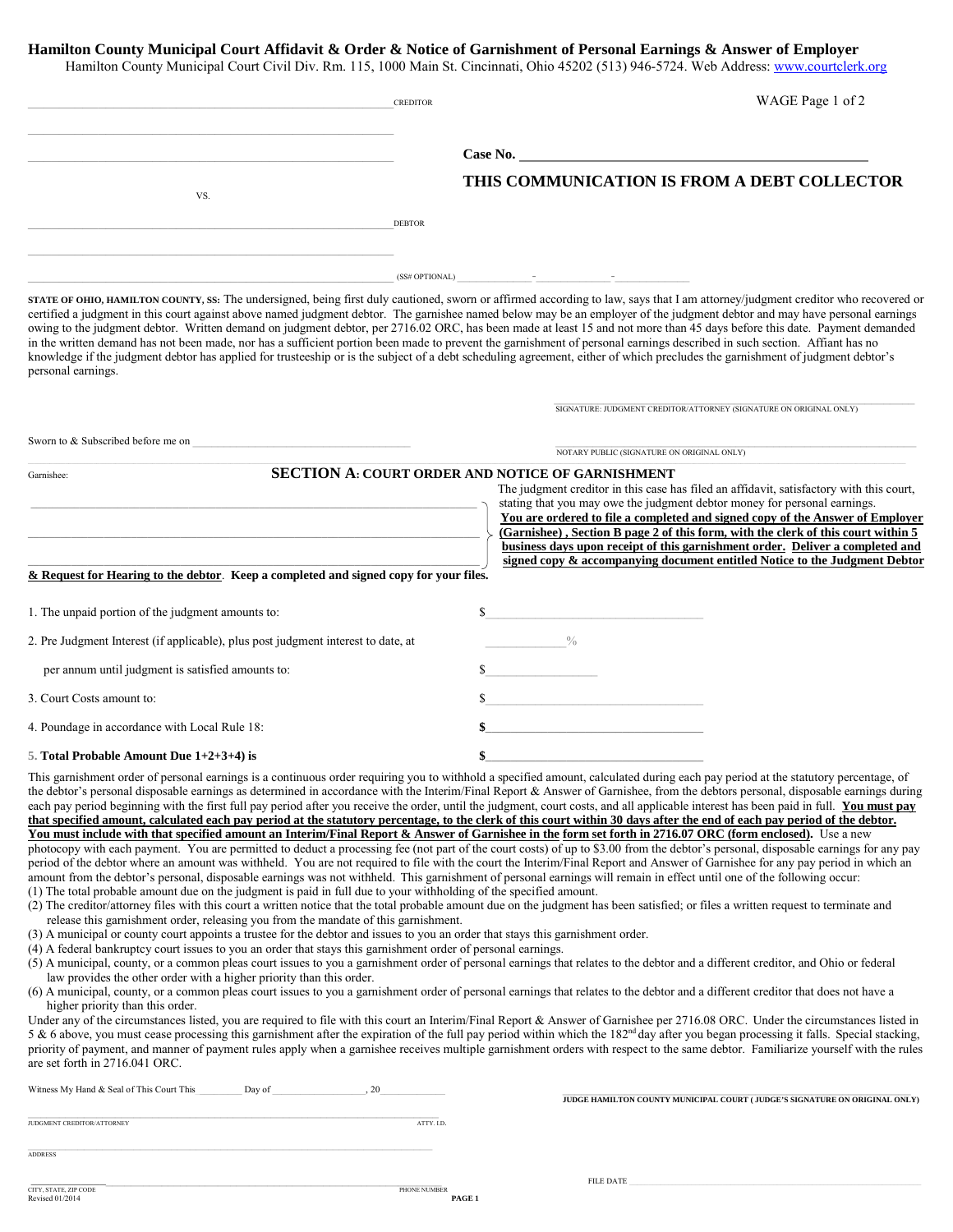## **Hamilton County Municipal Court Affidavit & Order & Notice of Garnishment of Personal Earnings & Answer of Employer**

Hamilton County Municipal Court Civil Div. Rm. 115, 1000 Main St. Cincinnati, Ohio 45202 (513) 946-5724. Web Address[: www.courtclerk.org](http://www.courtclerk.org/)

|                                                                                   | <b>CREDITOR</b>                                                                                                                                                                                                                                                                                                                                                                                                                                               | WAGE Page 1 of 2                                                                                                                                                                                                                                                                                                                                                                                                                                                                                                                                                                                                                                                                                                                                                                                                                                                                                                                                                                                                                                                                                                                                                                                                                                                                                                                                                                                                                                                                                                                                                                                                                                                                                                                                                                                                                                                                                                                                                                                                           |
|-----------------------------------------------------------------------------------|---------------------------------------------------------------------------------------------------------------------------------------------------------------------------------------------------------------------------------------------------------------------------------------------------------------------------------------------------------------------------------------------------------------------------------------------------------------|----------------------------------------------------------------------------------------------------------------------------------------------------------------------------------------------------------------------------------------------------------------------------------------------------------------------------------------------------------------------------------------------------------------------------------------------------------------------------------------------------------------------------------------------------------------------------------------------------------------------------------------------------------------------------------------------------------------------------------------------------------------------------------------------------------------------------------------------------------------------------------------------------------------------------------------------------------------------------------------------------------------------------------------------------------------------------------------------------------------------------------------------------------------------------------------------------------------------------------------------------------------------------------------------------------------------------------------------------------------------------------------------------------------------------------------------------------------------------------------------------------------------------------------------------------------------------------------------------------------------------------------------------------------------------------------------------------------------------------------------------------------------------------------------------------------------------------------------------------------------------------------------------------------------------------------------------------------------------------------------------------------------------|
|                                                                                   |                                                                                                                                                                                                                                                                                                                                                                                                                                                               |                                                                                                                                                                                                                                                                                                                                                                                                                                                                                                                                                                                                                                                                                                                                                                                                                                                                                                                                                                                                                                                                                                                                                                                                                                                                                                                                                                                                                                                                                                                                                                                                                                                                                                                                                                                                                                                                                                                                                                                                                            |
|                                                                                   |                                                                                                                                                                                                                                                                                                                                                                                                                                                               | Case No.                                                                                                                                                                                                                                                                                                                                                                                                                                                                                                                                                                                                                                                                                                                                                                                                                                                                                                                                                                                                                                                                                                                                                                                                                                                                                                                                                                                                                                                                                                                                                                                                                                                                                                                                                                                                                                                                                                                                                                                                                   |
| VS.                                                                               |                                                                                                                                                                                                                                                                                                                                                                                                                                                               | THIS COMMUNICATION IS FROM A DEBT COLLECTOR                                                                                                                                                                                                                                                                                                                                                                                                                                                                                                                                                                                                                                                                                                                                                                                                                                                                                                                                                                                                                                                                                                                                                                                                                                                                                                                                                                                                                                                                                                                                                                                                                                                                                                                                                                                                                                                                                                                                                                                |
|                                                                                   | <b>DEBTOR</b>                                                                                                                                                                                                                                                                                                                                                                                                                                                 |                                                                                                                                                                                                                                                                                                                                                                                                                                                                                                                                                                                                                                                                                                                                                                                                                                                                                                                                                                                                                                                                                                                                                                                                                                                                                                                                                                                                                                                                                                                                                                                                                                                                                                                                                                                                                                                                                                                                                                                                                            |
|                                                                                   |                                                                                                                                                                                                                                                                                                                                                                                                                                                               |                                                                                                                                                                                                                                                                                                                                                                                                                                                                                                                                                                                                                                                                                                                                                                                                                                                                                                                                                                                                                                                                                                                                                                                                                                                                                                                                                                                                                                                                                                                                                                                                                                                                                                                                                                                                                                                                                                                                                                                                                            |
|                                                                                   |                                                                                                                                                                                                                                                                                                                                                                                                                                                               | $(SS# OPTIONAL)$ - - -                                                                                                                                                                                                                                                                                                                                                                                                                                                                                                                                                                                                                                                                                                                                                                                                                                                                                                                                                                                                                                                                                                                                                                                                                                                                                                                                                                                                                                                                                                                                                                                                                                                                                                                                                                                                                                                                                                                                                                                                     |
| personal earnings.                                                                |                                                                                                                                                                                                                                                                                                                                                                                                                                                               | STATE OF OHIO, HAMILTON COUNTY, SS: The undersigned, being first duly cautioned, sworn or affirmed according to law, says that I am attorney/judgment creditor who recovered or<br>certified a judgment in this court against above named judgment debtor. The garnishee named below may be an employer of the judgment debtor and may have personal earnings<br>owing to the judgment debtor. Written demand on judgment debtor, per 2716.02 ORC, has been made at least 15 and not more than 45 days before this date. Payment demanded<br>in the written demand has not been made, nor has a sufficient portion been made to prevent the garnishment of personal earnings described in such section. Affiant has no<br>knowledge if the judgment debtor has applied for trusteeship or is the subject of a debt scheduling agreement, either of which precludes the garnishment of judgment debtor's                                                                                                                                                                                                                                                                                                                                                                                                                                                                                                                                                                                                                                                                                                                                                                                                                                                                                                                                                                                                                                                                                                                    |
|                                                                                   |                                                                                                                                                                                                                                                                                                                                                                                                                                                               | SIGNATURE: JUDGMENT CREDITOR/ATTORNEY (SIGNATURE ON ORIGINAL ONLY)                                                                                                                                                                                                                                                                                                                                                                                                                                                                                                                                                                                                                                                                                                                                                                                                                                                                                                                                                                                                                                                                                                                                                                                                                                                                                                                                                                                                                                                                                                                                                                                                                                                                                                                                                                                                                                                                                                                                                         |
| Sworn to & Subscribed before me on                                                |                                                                                                                                                                                                                                                                                                                                                                                                                                                               | NOTARY PUBLIC (SIGNATURE ON ORIGINAL ONLY)                                                                                                                                                                                                                                                                                                                                                                                                                                                                                                                                                                                                                                                                                                                                                                                                                                                                                                                                                                                                                                                                                                                                                                                                                                                                                                                                                                                                                                                                                                                                                                                                                                                                                                                                                                                                                                                                                                                                                                                 |
| Garnishee:                                                                        |                                                                                                                                                                                                                                                                                                                                                                                                                                                               | SECTION A: COURT ORDER AND NOTICE OF GARNISHMENT<br>The judgment creditor in this case has filed an affidavit, satisfactory with this court,<br>stating that you may owe the judgment debtor money for personal earnings.<br>You are ordered to file a completed and signed copy of the Answer of Employer<br>(Garnishee), Section B page 2 of this form, with the clerk of this court within 5<br>business days upon receipt of this garnishment order. Deliver a completed and                                                                                                                                                                                                                                                                                                                                                                                                                                                                                                                                                                                                                                                                                                                                                                                                                                                                                                                                                                                                                                                                                                                                                                                                                                                                                                                                                                                                                                                                                                                                           |
|                                                                                   | & Request for Hearing to the debtor. Keep a completed and signed copy for your files.                                                                                                                                                                                                                                                                                                                                                                         | signed copy & accompanying document entitled Notice to the Judgment Debtor                                                                                                                                                                                                                                                                                                                                                                                                                                                                                                                                                                                                                                                                                                                                                                                                                                                                                                                                                                                                                                                                                                                                                                                                                                                                                                                                                                                                                                                                                                                                                                                                                                                                                                                                                                                                                                                                                                                                                 |
|                                                                                   |                                                                                                                                                                                                                                                                                                                                                                                                                                                               |                                                                                                                                                                                                                                                                                                                                                                                                                                                                                                                                                                                                                                                                                                                                                                                                                                                                                                                                                                                                                                                                                                                                                                                                                                                                                                                                                                                                                                                                                                                                                                                                                                                                                                                                                                                                                                                                                                                                                                                                                            |
| 1. The unpaid portion of the judgment amounts to:                                 |                                                                                                                                                                                                                                                                                                                                                                                                                                                               | $\sim$                                                                                                                                                                                                                                                                                                                                                                                                                                                                                                                                                                                                                                                                                                                                                                                                                                                                                                                                                                                                                                                                                                                                                                                                                                                                                                                                                                                                                                                                                                                                                                                                                                                                                                                                                                                                                                                                                                                                                                                                                     |
| 2. Pre Judgment Interest (if applicable), plus post judgment interest to date, at |                                                                                                                                                                                                                                                                                                                                                                                                                                                               | $\frac{0}{0}$                                                                                                                                                                                                                                                                                                                                                                                                                                                                                                                                                                                                                                                                                                                                                                                                                                                                                                                                                                                                                                                                                                                                                                                                                                                                                                                                                                                                                                                                                                                                                                                                                                                                                                                                                                                                                                                                                                                                                                                                              |
| per annum until judgment is satisfied amounts to:                                 |                                                                                                                                                                                                                                                                                                                                                                                                                                                               |                                                                                                                                                                                                                                                                                                                                                                                                                                                                                                                                                                                                                                                                                                                                                                                                                                                                                                                                                                                                                                                                                                                                                                                                                                                                                                                                                                                                                                                                                                                                                                                                                                                                                                                                                                                                                                                                                                                                                                                                                            |
| 3. Court Costs amount to:                                                         |                                                                                                                                                                                                                                                                                                                                                                                                                                                               | $\frac{1}{2}$                                                                                                                                                                                                                                                                                                                                                                                                                                                                                                                                                                                                                                                                                                                                                                                                                                                                                                                                                                                                                                                                                                                                                                                                                                                                                                                                                                                                                                                                                                                                                                                                                                                                                                                                                                                                                                                                                                                                                                                                              |
| 4. Poundage in accordance with Local Rule 18:                                     |                                                                                                                                                                                                                                                                                                                                                                                                                                                               |                                                                                                                                                                                                                                                                                                                                                                                                                                                                                                                                                                                                                                                                                                                                                                                                                                                                                                                                                                                                                                                                                                                                                                                                                                                                                                                                                                                                                                                                                                                                                                                                                                                                                                                                                                                                                                                                                                                                                                                                                            |
| 5. Total Probable Amount Due 1+2+3+4) is                                          |                                                                                                                                                                                                                                                                                                                                                                                                                                                               |                                                                                                                                                                                                                                                                                                                                                                                                                                                                                                                                                                                                                                                                                                                                                                                                                                                                                                                                                                                                                                                                                                                                                                                                                                                                                                                                                                                                                                                                                                                                                                                                                                                                                                                                                                                                                                                                                                                                                                                                                            |
| law provides the other order with a higher priority than this order.              | (1) The total probable amount due on the judgment is paid in full due to your withholding of the specified amount.<br>release this garnishment order, releasing you from the mandate of this garnishment.<br>(3) A municipal or county court appoints a trustee for the debtor and issues to you an order that stays this garnishment order.<br>(4) A federal bankruptcy court issues to you an order that stays this garnishment order of personal earnings. | This garnishment order of personal earnings is a continuous order requiring you to withhold a specified amount, calculated during each pay period at the statutory percentage, of<br>the debtor's personal disposable earnings as determined in accordance with the Interim/Final Report & Answer of Garnishee, from the debtors personal, disposable earnings during<br>each pay period beginning with the first full pay period after you receive the order, until the judgment, court costs, and all applicable interest has been paid in full. You must pay<br>that specified amount, calculated each pay period at the statutory percentage, to the clerk of this court within 30 days after the end of each pay period of the debtor.<br>You must include with that specified amount an Interim/Final Report & Answer of Garnishee in the form set forth in 2716.07 ORC (form enclosed). Use a new<br>photocopy with each payment. You are permitted to deduct a processing fee (not part of the court costs) of up to \$3.00 from the debtor's personal, disposable earnings for any pay<br>period of the debtor where an amount was withheld. You are not required to file with the court the Interim/Final Report and Answer of Garnishee for any pay period in which an<br>amount from the debtor's personal, disposable earnings was not withheld. This garnishment of personal earnings will remain in effect until one of the following occur:<br>(2) The creditor/attorney files with this court a written notice that the total probable amount due on the judgment has been satisfied; or files a written request to terminate and<br>(5) A municipal, county, or a common pleas court issues to you a garnishment order of personal earnings that relates to the debtor and a different creditor, and Ohio or federal<br>(6) A municipal, county, or a common pleas court issues to you a garnishment order of personal earnings that relates to the debtor and a different creditor that does not have a |
| higher priority than this order.<br>are set forth in 2716.041 ORC.                |                                                                                                                                                                                                                                                                                                                                                                                                                                                               | Under any of the circumstances listed, you are required to file with this court an Interim/Final Report & Answer of Garnishee per 2716.08 ORC. Under the circumstances listed in<br>5 & 6 above, you must cease processing this garnishment after the expiration of the full pay period within which the 182 <sup>nd</sup> day after you began processing it falls. Special stacking,<br>priority of payment, and manner of payment rules apply when a garnishee receives multiple garnishment orders with respect to the same debtor. Familiarize yourself with the rules                                                                                                                                                                                                                                                                                                                                                                                                                                                                                                                                                                                                                                                                                                                                                                                                                                                                                                                                                                                                                                                                                                                                                                                                                                                                                                                                                                                                                                                 |
| Witness My Hand & Seal of This Court This                                         | Day of<br>, 20                                                                                                                                                                                                                                                                                                                                                                                                                                                | JUDGE HAMILTON COUNTY MUNICIPAL COURT (JUDGE'S SIGNATURE ON ORIGINAL ONLY)                                                                                                                                                                                                                                                                                                                                                                                                                                                                                                                                                                                                                                                                                                                                                                                                                                                                                                                                                                                                                                                                                                                                                                                                                                                                                                                                                                                                                                                                                                                                                                                                                                                                                                                                                                                                                                                                                                                                                 |
| JUDGMENT CREDITOR/ATTORNEY                                                        | ATTY. I.D.                                                                                                                                                                                                                                                                                                                                                                                                                                                    |                                                                                                                                                                                                                                                                                                                                                                                                                                                                                                                                                                                                                                                                                                                                                                                                                                                                                                                                                                                                                                                                                                                                                                                                                                                                                                                                                                                                                                                                                                                                                                                                                                                                                                                                                                                                                                                                                                                                                                                                                            |

\_\_\_\_\_\_\_\_\_\_\_\_\_\_\_\_\_\_\_\_\_\_\_\_\_\_\_\_\_\_\_\_\_\_\_\_\_\_\_\_\_\_\_\_\_\_\_\_\_\_\_\_\_\_\_\_\_\_\_\_\_\_\_\_\_ ADDRESS